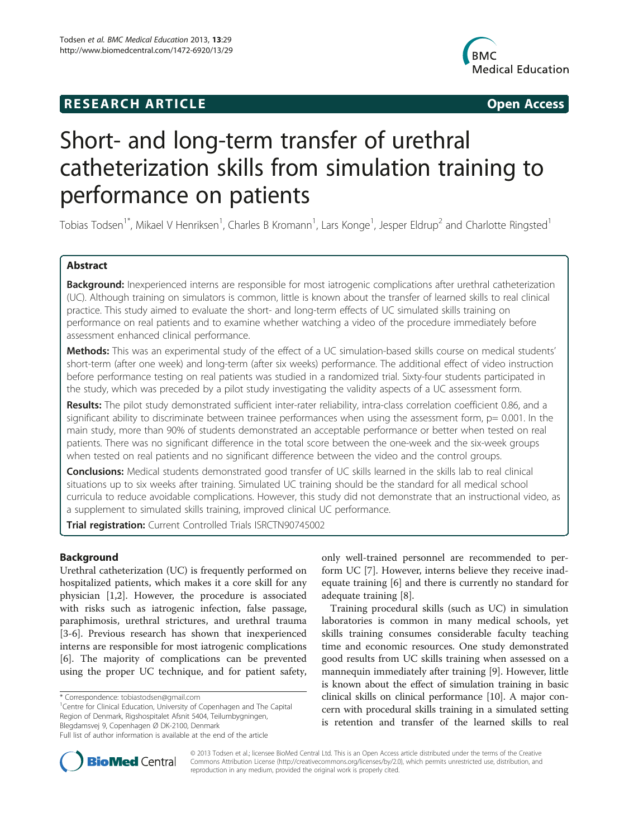## **RESEARCH ARTICLE Example 2014 12:30 The SEAR CHA RTICLE**



# Short- and long-term transfer of urethral catheterization skills from simulation training to performance on patients

Tobias Todsen<sup>1\*</sup>, Mikael V Henriksen<sup>1</sup>, Charles B Kromann<sup>1</sup>, Lars Konge<sup>1</sup>, Jesper Eldrup<sup>2</sup> and Charlotte Ringsted<sup>1</sup>

## Abstract

Background: Inexperienced interns are responsible for most iatrogenic complications after urethral catheterization (UC). Although training on simulators is common, little is known about the transfer of learned skills to real clinical practice. This study aimed to evaluate the short- and long-term effects of UC simulated skills training on performance on real patients and to examine whether watching a video of the procedure immediately before assessment enhanced clinical performance.

Methods: This was an experimental study of the effect of a UC simulation-based skills course on medical students' short-term (after one week) and long-term (after six weeks) performance. The additional effect of video instruction before performance testing on real patients was studied in a randomized trial. Sixty-four students participated in the study, which was preceded by a pilot study investigating the validity aspects of a UC assessment form.

Results: The pilot study demonstrated sufficient inter-rater reliability, intra-class correlation coefficient 0.86, and a significant ability to discriminate between trainee performances when using the assessment form, p= 0.001. In the main study, more than 90% of students demonstrated an acceptable performance or better when tested on real patients. There was no significant difference in the total score between the one-week and the six-week groups when tested on real patients and no significant difference between the video and the control groups.

**Conclusions:** Medical students demonstrated good transfer of UC skills learned in the skills lab to real clinical situations up to six weeks after training. Simulated UC training should be the standard for all medical school curricula to reduce avoidable complications. However, this study did not demonstrate that an instructional video, as a supplement to simulated skills training, improved clinical UC performance.

Trial registration: Current Controlled Trials [ISRCTN90745002](http://www.controlled-trials.com/90745002)

## Background

Urethral catheterization (UC) is frequently performed on hospitalized patients, which makes it a core skill for any physician [[1,2\]](#page-5-0). However, the procedure is associated with risks such as iatrogenic infection, false passage, paraphimosis, urethral strictures, and urethral trauma [[3-6](#page-5-0)]. Previous research has shown that inexperienced interns are responsible for most iatrogenic complications [[6\]](#page-5-0). The majority of complications can be prevented using the proper UC technique, and for patient safety,

\* Correspondence: [tobiastodsen@gmail.com](mailto:tobiastodsen@gmail.com) <sup>1</sup>

<sup>1</sup>Centre for Clinical Education, University of Copenhagen and The Capital Region of Denmark, Rigshospitalet Afsnit 5404, Teilumbygningen, Blegdamsvej 9, Copenhagen Ø DK-2100, Denmark

only well-trained personnel are recommended to perform UC [[7\]](#page-5-0). However, interns believe they receive inadequate training [[6\]](#page-5-0) and there is currently no standard for adequate training [\[8](#page-5-0)].

Training procedural skills (such as UC) in simulation laboratories is common in many medical schools, yet skills training consumes considerable faculty teaching time and economic resources. One study demonstrated good results from UC skills training when assessed on a mannequin immediately after training [\[9](#page-5-0)]. However, little is known about the effect of simulation training in basic clinical skills on clinical performance [[10](#page-5-0)]. A major concern with procedural skills training in a simulated setting is retention and transfer of the learned skills to real



© 2013 Todsen et al.; licensee BioMed Central Ltd. This is an Open Access article distributed under the terms of the Creative Commons Attribution License [\(http://creativecommons.org/licenses/by/2.0\)](http://creativecommons.org/licenses/by/2.0), which permits unrestricted use, distribution, and reproduction in any medium, provided the original work is properly cited.

Full list of author information is available at the end of the article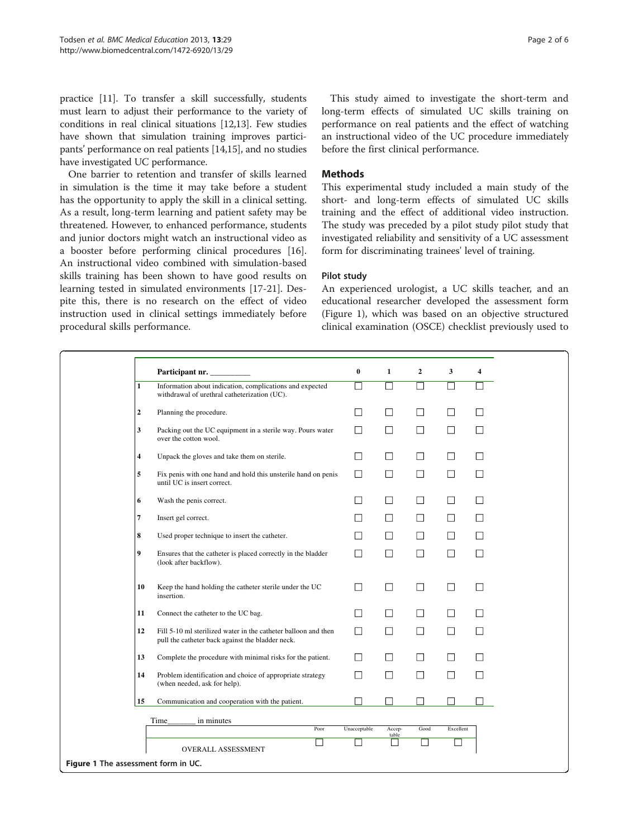practice [\[11\]](#page-5-0). To transfer a skill successfully, students must learn to adjust their performance to the variety of conditions in real clinical situations [[12,13](#page-5-0)]. Few studies have shown that simulation training improves participants' performance on real patients [[14,15\]](#page-5-0), and no studies have investigated UC performance.

One barrier to retention and transfer of skills learned in simulation is the time it may take before a student has the opportunity to apply the skill in a clinical setting. As a result, long-term learning and patient safety may be threatened. However, to enhanced performance, students and junior doctors might watch an instructional video as a booster before performing clinical procedures [\[16](#page-5-0)]. An instructional video combined with simulation-based skills training has been shown to have good results on learning tested in simulated environments [\[17](#page-5-0)-[21](#page-5-0)]. Despite this, there is no research on the effect of video instruction used in clinical settings immediately before procedural skills performance.

This study aimed to investigate the short-term and long-term effects of simulated UC skills training on performance on real patients and the effect of watching an instructional video of the UC procedure immediately before the first clinical performance.

## **Methods**

This experimental study included a main study of the short- and long-term effects of simulated UC skills training and the effect of additional video instruction. The study was preceded by a pilot study pilot study that investigated reliability and sensitivity of a UC assessment form for discriminating trainees' level of training.

### Pilot study

An experienced urologist, a UC skills teacher, and an educational researcher developed the assessment form (Figure 1), which was based on an objective structured clinical examination (OSCE) checklist previously used to

|                  | Participant nr.                                                                                                    | $\bf{0}$     | $\mathbf{1}$    | $\mathbf{2}$   | 3            | 4       |
|------------------|--------------------------------------------------------------------------------------------------------------------|--------------|-----------------|----------------|--------------|---------|
| $\mathbf{1}$     | Information about indication, complications and expected<br>withdrawal of urethral catheterization (UC).           | П            | $\Box$          | $\blacksquare$ | П            |         |
| $\boldsymbol{2}$ | Planning the procedure.                                                                                            | $\Box$       | $\Box$          | □              | $\Box$       | П       |
| 3                | Packing out the UC equipment in a sterile way. Pours water<br>over the cotton wool.                                | П            | $\Box$          | П              | $\Box$       | П       |
| 4                | Unpack the gloves and take them on sterile.                                                                        | $\Box$       | $\Box$          | П              | $\Box$       | П       |
| 5                | Fix penis with one hand and hold this unsterile hand on penis<br>until UC is insert correct.                       | П            | $\Box$          | П              | $\Box$       | $\Box$  |
| 6                | Wash the penis correct.                                                                                            | $\Box$       | $\Box$          | П              | П            | П       |
| 7                | Insert gel correct.                                                                                                | П            | $\Box$          | $\Box$         | $\Box$       | $\Box$  |
| 8                | Used proper technique to insert the catheter.                                                                      | П            | $\Box$          | $\Box$         | $\Box$       | П       |
| 9                | Ensures that the catheter is placed correctly in the bladder<br>(look after backflow).                             | $\Box$       | П               | $\Box$         | $\Box$       | П       |
| 10               | Keep the hand holding the catheter sterile under the UC<br>insertion.                                              | $\Box$       | $\Box$          | П              | П            | $\Box$  |
| 11               | Connect the catheter to the UC bag.                                                                                | $\Box$       | $\Box$          | $\mathsf{L}$   | $\mathbf{I}$ | $\perp$ |
| 12               | Fill 5-10 ml sterilized water in the catheter balloon and then<br>pull the catheter back against the bladder neck. | $\Box$       | $\Box$          | $\Box$         | $\Box$       | П       |
| 13               | Complete the procedure with minimal risks for the patient.                                                         | $\Box$       | □               | $\Box$         | П            | П       |
| 14               | Problem identification and choice of appropriate strategy<br>(when needed, ask for help).                          | $\Box$       | $\Box$          | $\Box$         | П            |         |
| 15               | Communication and cooperation with the patient.                                                                    | П            | $\blacksquare$  | ×.             | П            |         |
|                  | in minutes<br>Time                                                                                                 |              |                 |                |              |         |
|                  | Poor                                                                                                               | Unacceptable | Ассер-<br>table | Good           | Excellent    |         |
|                  | OVERALL ASSESSMENT                                                                                                 |              |                 |                |              |         |
|                  | Figure 1 The assessment form in UC.                                                                                |              |                 |                |              |         |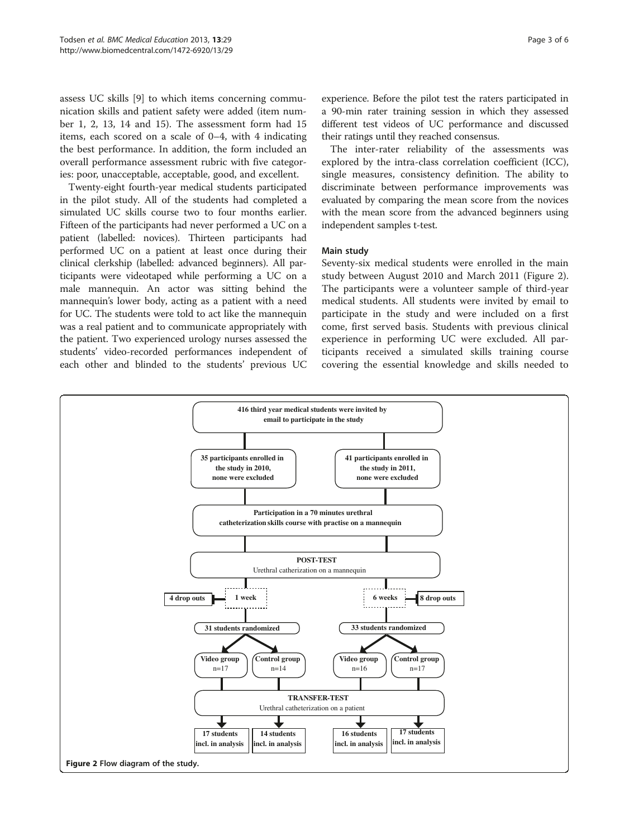assess UC skills [[9\]](#page-5-0) to which items concerning communication skills and patient safety were added (item number 1, 2, 13, 14 and 15). The assessment form had 15 items, each scored on a scale of 0–4, with 4 indicating the best performance. In addition, the form included an overall performance assessment rubric with five categories: poor, unacceptable, acceptable, good, and excellent.

Twenty-eight fourth-year medical students participated in the pilot study. All of the students had completed a simulated UC skills course two to four months earlier. Fifteen of the participants had never performed a UC on a patient (labelled: novices). Thirteen participants had performed UC on a patient at least once during their clinical clerkship (labelled: advanced beginners). All participants were videotaped while performing a UC on a male mannequin. An actor was sitting behind the mannequin's lower body, acting as a patient with a need for UC. The students were told to act like the mannequin was a real patient and to communicate appropriately with the patient. Two experienced urology nurses assessed the students' video-recorded performances independent of each other and blinded to the students' previous UC experience. Before the pilot test the raters participated in a 90-min rater training session in which they assessed different test videos of UC performance and discussed their ratings until they reached consensus.

The inter-rater reliability of the assessments was explored by the intra-class correlation coefficient (ICC), single measures, consistency definition. The ability to discriminate between performance improvements was evaluated by comparing the mean score from the novices with the mean score from the advanced beginners using independent samples t-test.

### Main study

Seventy-six medical students were enrolled in the main study between August 2010 and March 2011 (Figure 2). The participants were a volunteer sample of third-year medical students. All students were invited by email to participate in the study and were included on a first come, first served basis. Students with previous clinical experience in performing UC were excluded. All participants received a simulated skills training course covering the essential knowledge and skills needed to

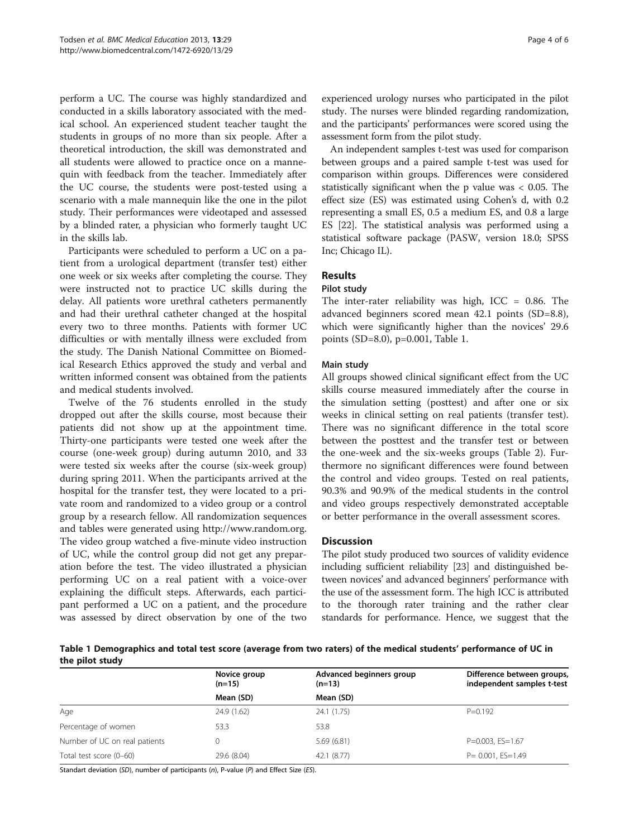perform a UC. The course was highly standardized and conducted in a skills laboratory associated with the medical school. An experienced student teacher taught the students in groups of no more than six people. After a theoretical introduction, the skill was demonstrated and all students were allowed to practice once on a mannequin with feedback from the teacher. Immediately after the UC course, the students were post-tested using a scenario with a male mannequin like the one in the pilot study. Their performances were videotaped and assessed by a blinded rater, a physician who formerly taught UC in the skills lab.

Participants were scheduled to perform a UC on a patient from a urological department (transfer test) either one week or six weeks after completing the course. They were instructed not to practice UC skills during the delay. All patients wore urethral catheters permanently and had their urethral catheter changed at the hospital every two to three months. Patients with former UC difficulties or with mentally illness were excluded from the study. The Danish National Committee on Biomedical Research Ethics approved the study and verbal and written informed consent was obtained from the patients and medical students involved.

Twelve of the 76 students enrolled in the study dropped out after the skills course, most because their patients did not show up at the appointment time. Thirty-one participants were tested one week after the course (one-week group) during autumn 2010, and 33 were tested six weeks after the course (six-week group) during spring 2011. When the participants arrived at the hospital for the transfer test, they were located to a private room and randomized to a video group or a control group by a research fellow. All randomization sequences and tables were generated using [http://www.random.org](http://www.random.org/). The video group watched a five-minute video instruction of UC, while the control group did not get any preparation before the test. The video illustrated a physician performing UC on a real patient with a voice-over explaining the difficult steps. Afterwards, each participant performed a UC on a patient, and the procedure was assessed by direct observation by one of the two experienced urology nurses who participated in the pilot study. The nurses were blinded regarding randomization, and the participants' performances were scored using the assessment form from the pilot study.

An independent samples t-test was used for comparison between groups and a paired sample t-test was used for comparison within groups. Differences were considered statistically significant when the p value was < 0.05. The effect size (ES) was estimated using Cohen's d, with 0.2 representing a small ES, 0.5 a medium ES, and 0.8 a large ES [\[22\]](#page-5-0). The statistical analysis was performed using a statistical software package (PASW, version 18.0; SPSS Inc; Chicago IL).

## Results

## Pilot study

The inter-rater reliability was high, ICC =  $0.86$ . The advanced beginners scored mean 42.1 points (SD=8.8), which were significantly higher than the novices' 29.6 points (SD=8.0), p=0.001, Table 1.

## Main study

All groups showed clinical significant effect from the UC skills course measured immediately after the course in the simulation setting (posttest) and after one or six weeks in clinical setting on real patients (transfer test). There was no significant difference in the total score between the posttest and the transfer test or between the one-week and the six-weeks groups (Table [2\)](#page-4-0). Furthermore no significant differences were found between the control and video groups. Tested on real patients, 90.3% and 90.9% of the medical students in the control and video groups respectively demonstrated acceptable or better performance in the overall assessment scores.

## **Discussion**

The pilot study produced two sources of validity evidence including sufficient reliability [\[23\]](#page-5-0) and distinguished between novices' and advanced beginners' performance with the use of the assessment form. The high ICC is attributed to the thorough rater training and the rather clear standards for performance. Hence, we suggest that the

Table 1 Demographics and total test score (average from two raters) of the medical students' performance of UC in the pilot study

|                               | Novice group<br>$(n=15)$ | Advanced beginners group<br>$(n=13)$ | Difference between groups,<br>independent samples t-test |  |  |
|-------------------------------|--------------------------|--------------------------------------|----------------------------------------------------------|--|--|
|                               | Mean (SD)                | Mean (SD)                            |                                                          |  |  |
| Age                           | 24.9 (1.62)              | 24.1 (1.75)                          | $P = 0.192$                                              |  |  |
| Percentage of women           | 53.3                     | 53.8                                 |                                                          |  |  |
| Number of UC on real patients |                          | 5.69(6.81)                           | $P=0.003$ , $ES=1.67$                                    |  |  |
| Total test score (0-60)       | 29.6 (8.04)              | 42.1 (8.77)                          | $P = 0.001$ , $ES = 1.49$                                |  |  |

Standart deviation (SD), number of participants (n), P-value (P) and Effect Size (ES).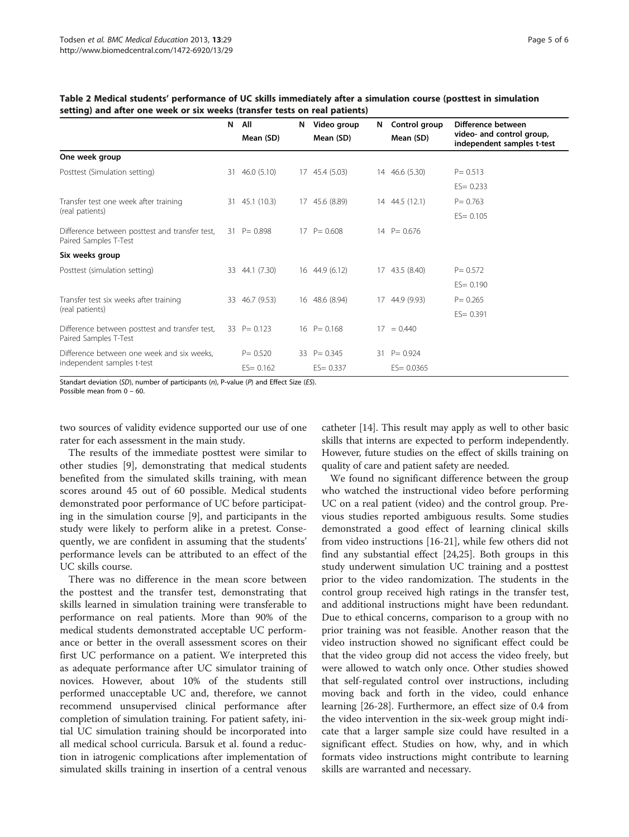|                                                                         | N | All            | N | Video group<br>Mean (SD) | N. | Control group           | Difference between<br>video- and control group,<br>independent samples t-test |  |
|-------------------------------------------------------------------------|---|----------------|---|--------------------------|----|-------------------------|-------------------------------------------------------------------------------|--|
|                                                                         |   | Mean (SD)      |   |                          |    | Mean (SD)               |                                                                               |  |
| One week group                                                          |   |                |   |                          |    |                         |                                                                               |  |
| Posttest (Simulation setting)                                           |   | 31 46.0 (5.10) |   | 17 45.4 (5.03)           |    | 14 46.6 (5.30)          | $P = 0.513$                                                                   |  |
|                                                                         |   |                |   |                          |    |                         | $ES = 0.233$                                                                  |  |
| Transfer test one week after training                                   |   | 31 45.1 (10.3) |   | 17 45.6 (8.89)           |    | 14 44.5 (12.1)          | $P = 0.763$                                                                   |  |
| (real patients)                                                         |   |                |   |                          |    |                         | $ES = 0.105$                                                                  |  |
| Difference between posttest and transfer test,<br>Paired Samples T-Test |   | $31$ P = 0.898 |   | $17$ P= 0.608            |    | $14 \text{ } P = 0.676$ |                                                                               |  |
| Six weeks group                                                         |   |                |   |                          |    |                         |                                                                               |  |
| Posttest (simulation setting)                                           |   | 33 44.1 (7.30) |   | 16 44.9 (6.12)           | 17 | 43.5 (8.40)             | $P = 0.572$                                                                   |  |
|                                                                         |   |                |   |                          |    |                         | $ES = 0.190$                                                                  |  |
| Transfer test six weeks after training                                  |   | 33 46.7 (9.53) |   | 16 48.6 (8.94)           | 17 | 44.9 (9.93)             | $P = 0.265$                                                                   |  |
| (real patients)                                                         |   |                |   |                          |    |                         | $ES = 0.391$                                                                  |  |
| Difference between posttest and transfer test,<br>Paired Samples T-Test |   | 33 $P = 0.123$ |   | $16$ P= 0.168            | 17 | $= 0.440$               |                                                                               |  |
| Difference between one week and six weeks,                              |   | $P = 0.520$    |   | 33 $P = 0.345$           |    | $31$ P = 0.924          |                                                                               |  |
| independent samples t-test                                              |   | $ES = 0.162$   |   | $ES = 0.337$             |    | $ES = 0.0365$           |                                                                               |  |

<span id="page-4-0"></span>Table 2 Medical students' performance of UC skills immediately after a simulation course (posttest in simulation setting) and after one week or six weeks (transfer tests on real patients)

Standart deviation (SD), number of participants (n), P-value (P) and Effect Size (ES).

Possible mean from 0 – 60.

two sources of validity evidence supported our use of one rater for each assessment in the main study.

The results of the immediate posttest were similar to other studies [[9](#page-5-0)], demonstrating that medical students benefited from the simulated skills training, with mean scores around 45 out of 60 possible. Medical students demonstrated poor performance of UC before participating in the simulation course [[9\]](#page-5-0), and participants in the study were likely to perform alike in a pretest. Consequently, we are confident in assuming that the students' performance levels can be attributed to an effect of the UC skills course.

There was no difference in the mean score between the posttest and the transfer test, demonstrating that skills learned in simulation training were transferable to performance on real patients. More than 90% of the medical students demonstrated acceptable UC performance or better in the overall assessment scores on their first UC performance on a patient. We interpreted this as adequate performance after UC simulator training of novices. However, about 10% of the students still performed unacceptable UC and, therefore, we cannot recommend unsupervised clinical performance after completion of simulation training. For patient safety, initial UC simulation training should be incorporated into all medical school curricula. Barsuk et al. found a reduction in iatrogenic complications after implementation of simulated skills training in insertion of a central venous catheter [\[14\]](#page-5-0). This result may apply as well to other basic skills that interns are expected to perform independently. However, future studies on the effect of skills training on quality of care and patient safety are needed.

We found no significant difference between the group who watched the instructional video before performing UC on a real patient (video) and the control group. Previous studies reported ambiguous results. Some studies demonstrated a good effect of learning clinical skills from video instructions [[16-21](#page-5-0)], while few others did not find any substantial effect [[24,25\]](#page-5-0). Both groups in this study underwent simulation UC training and a posttest prior to the video randomization. The students in the control group received high ratings in the transfer test, and additional instructions might have been redundant. Due to ethical concerns, comparison to a group with no prior training was not feasible. Another reason that the video instruction showed no significant effect could be that the video group did not access the video freely, but were allowed to watch only once. Other studies showed that self-regulated control over instructions, including moving back and forth in the video, could enhance learning [[26](#page-5-0)-[28\]](#page-5-0). Furthermore, an effect size of 0.4 from the video intervention in the six-week group might indicate that a larger sample size could have resulted in a significant effect. Studies on how, why, and in which formats video instructions might contribute to learning skills are warranted and necessary.